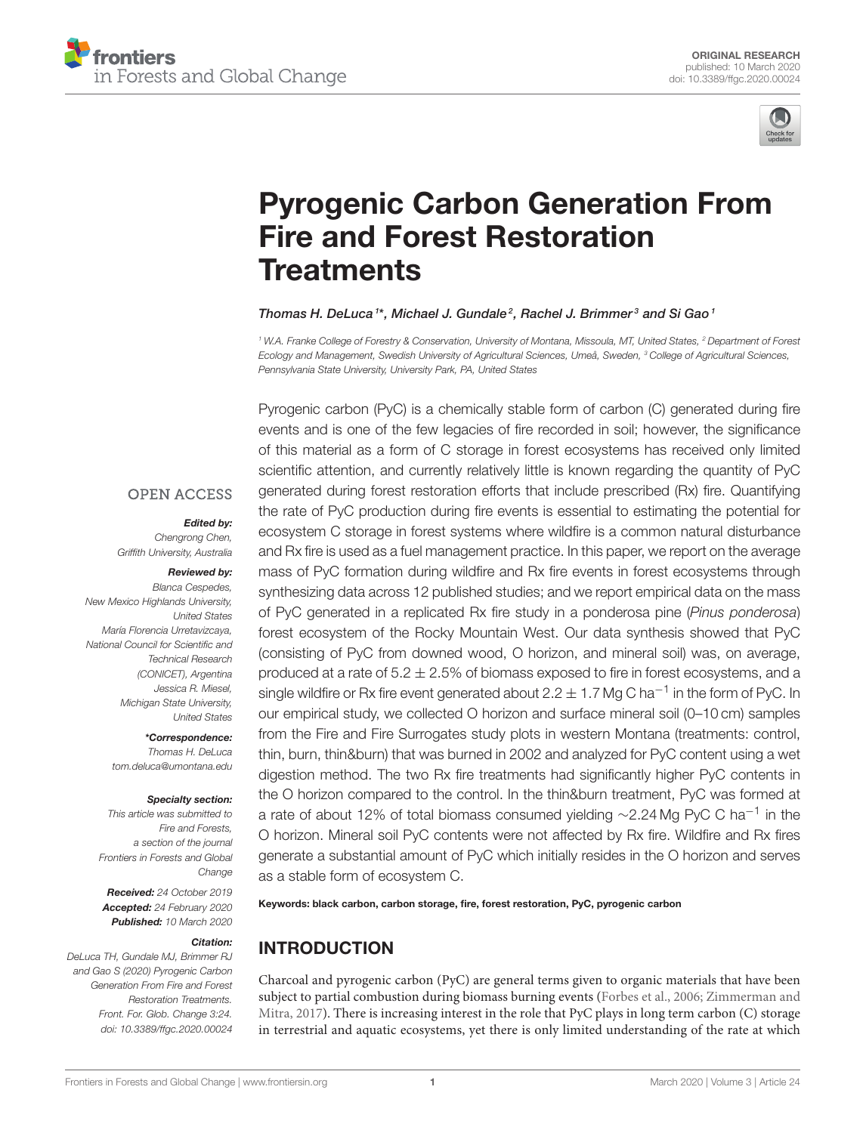



# [Pyrogenic Carbon Generation From](https://www.frontiersin.org/articles/10.3389/ffgc.2020.00024/full) Fire and Forest Restoration **Treatments**

#### [Thomas H. DeLuca](http://loop.frontiersin.org/people/88998/overview)<sup>1\*</sup>, [Michael J. Gundale](http://loop.frontiersin.org/people/922901/overview)<sup>2</sup>, Rachel J. Brimmer<sup>3</sup> and [Si Gao](http://loop.frontiersin.org/people/834792/overview)<sup>1</sup>

<sup>1</sup> W.A. Franke College of Forestry & Conservation, University of Montana, Missoula, MT, United States, <sup>2</sup> Department of Forest Ecology and Management, Swedish University of Agricultural Sciences, Umeå, Sweden, <sup>3</sup> College of Agricultural Sciences, Pennsylvania State University, University Park, PA, United States

#### **OPEN ACCESS**

#### Edited by:

Chengrong Chen, Griffith University, Australia

#### Reviewed by:

Blanca Cespedes, New Mexico Highlands University, United States María Florencia Urretavizcaya, National Council for Scientific and Technical Research (CONICET), Argentina Jessica R. Miesel, Michigan State University, United States

> \*Correspondence: Thomas H. DeLuca [tom.deluca@umontana.edu](mailto:tom.deluca@umontana.edu)

#### Specialty section:

This article was submitted to Fire and Forests, a section of the journal Frontiers in Forests and Global Change

Received: 24 October 2019 Accepted: 24 February 2020 Published: 10 March 2020

#### Citation:

DeLuca TH, Gundale MJ, Brimmer RJ and Gao S (2020) Pyrogenic Carbon Generation From Fire and Forest Restoration Treatments. Front. For. Glob. Change 3:24. doi: [10.3389/ffgc.2020.00024](https://doi.org/10.3389/ffgc.2020.00024)

Pyrogenic carbon (PyC) is a chemically stable form of carbon (C) generated during fire events and is one of the few legacies of fire recorded in soil; however, the significance of this material as a form of C storage in forest ecosystems has received only limited scientific attention, and currently relatively little is known regarding the quantity of PyC generated during forest restoration efforts that include prescribed (Rx) fire. Quantifying the rate of PyC production during fire events is essential to estimating the potential for ecosystem C storage in forest systems where wildfire is a common natural disturbance and Rx fire is used as a fuel management practice. In this paper, we report on the average mass of PyC formation during wildfire and Rx fire events in forest ecosystems through synthesizing data across 12 published studies; and we report empirical data on the mass of PyC generated in a replicated Rx fire study in a ponderosa pine (Pinus ponderosa) forest ecosystem of the Rocky Mountain West. Our data synthesis showed that PyC (consisting of PyC from downed wood, O horizon, and mineral soil) was, on average, produced at a rate of  $5.2 \pm 2.5\%$  of biomass exposed to fire in forest ecosystems, and a single wildfire or Rx fire event generated about 2.2  $\pm$  1.7 Mg C ha<sup>-1</sup> in the form of PyC. In our empirical study, we collected O horizon and surface mineral soil (0–10 cm) samples from the Fire and Fire Surrogates study plots in western Montana (treatments: control, thin, burn, thin&burn) that was burned in 2002 and analyzed for PyC content using a wet digestion method. The two Rx fire treatments had significantly higher PyC contents in the O horizon compared to the control. In the thin&burn treatment, PyC was formed at a rate of about 12% of total biomass consumed yielding ~2.24 Mg PyC C ha<sup>-1</sup> in the O horizon. Mineral soil PyC contents were not affected by Rx fire. Wildfire and Rx fires generate a substantial amount of PyC which initially resides in the O horizon and serves as a stable form of ecosystem C.

Keywords: black carbon, carbon storage, fire, forest restoration, PyC, pyrogenic carbon

# INTRODUCTION

Charcoal and pyrogenic carbon (PyC) are general terms given to organic materials that have been subject to partial combustion during biomass burning events [\(Forbes et al., 2006;](#page-6-0) Zimmerman and Mitra, [2017\)](#page-7-0). There is increasing interest in the role that PyC plays in long term carbon (C) storage in terrestrial and aquatic ecosystems, yet there is only limited understanding of the rate at which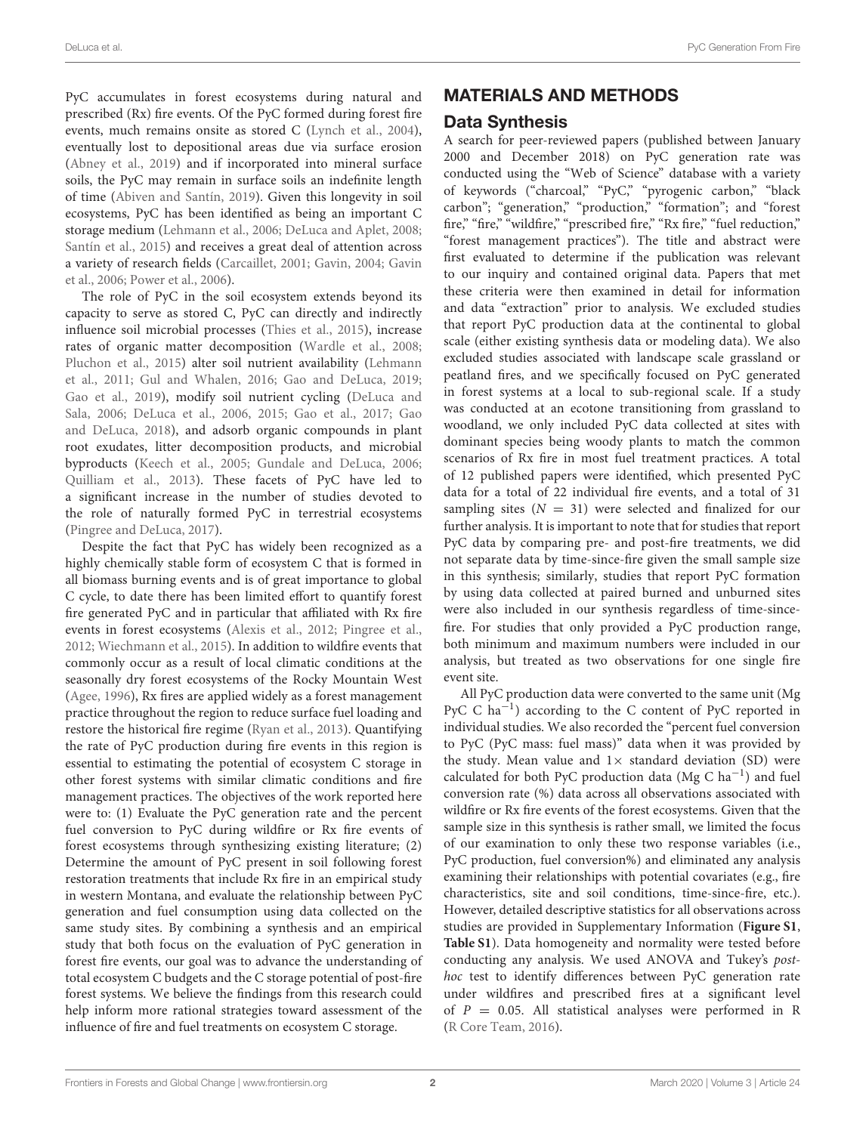PyC accumulates in forest ecosystems during natural and prescribed (Rx) fire events. Of the PyC formed during forest fire events, much remains onsite as stored C [\(Lynch et al., 2004\)](#page-7-1), eventually lost to depositional areas due via surface erosion [\(Abney et al., 2019\)](#page-6-1) and if incorporated into mineral surface soils, the PyC may remain in surface soils an indefinite length of time [\(Abiven and Santín, 2019\)](#page-6-2). Given this longevity in soil ecosystems, PyC has been identified as being an important C storage medium [\(Lehmann et al., 2006;](#page-7-2) [DeLuca and Aplet, 2008;](#page-6-3) [Santín et al., 2015\)](#page-7-3) and receives a great deal of attention across a variety of research fields [\(Carcaillet, 2001;](#page-6-4) [Gavin, 2004;](#page-6-5) Gavin et al., [2006;](#page-6-6) [Power et al., 2006\)](#page-7-4).

The role of PyC in the soil ecosystem extends beyond its capacity to serve as stored C, PyC can directly and indirectly influence soil microbial processes [\(Thies et al., 2015\)](#page-7-5), increase rates of organic matter decomposition [\(Wardle et al., 2008;](#page-7-6) [Pluchon et al., 2015\)](#page-7-7) alter soil nutrient availability (Lehmann et al., [2011;](#page-7-8) [Gul and Whalen, 2016;](#page-6-7) [Gao and DeLuca, 2019;](#page-6-8) [Gao et al., 2019\)](#page-6-9), modify soil nutrient cycling (DeLuca and Sala, [2006;](#page-6-10) [DeLuca et al., 2006,](#page-6-11) [2015;](#page-6-12) [Gao et al., 2017;](#page-6-13) Gao and DeLuca, [2018\)](#page-6-14), and adsorb organic compounds in plant root exudates, litter decomposition products, and microbial byproducts [\(Keech et al., 2005;](#page-7-9) [Gundale and DeLuca, 2006;](#page-6-15) [Quilliam et al., 2013\)](#page-7-10). These facets of PyC have led to a significant increase in the number of studies devoted to the role of naturally formed PyC in terrestrial ecosystems [\(Pingree and DeLuca, 2017\)](#page-7-11).

Despite the fact that PyC has widely been recognized as a highly chemically stable form of ecosystem C that is formed in all biomass burning events and is of great importance to global C cycle, to date there has been limited effort to quantify forest fire generated PyC and in particular that affiliated with Rx fire events in forest ecosystems [\(Alexis et al., 2012;](#page-6-16) [Pingree et al.,](#page-7-12) [2012;](#page-7-12) [Wiechmann et al., 2015\)](#page-7-13). In addition to wildfire events that commonly occur as a result of local climatic conditions at the seasonally dry forest ecosystems of the Rocky Mountain West [\(Agee, 1996\)](#page-6-17), Rx fires are applied widely as a forest management practice throughout the region to reduce surface fuel loading and restore the historical fire regime [\(Ryan et al., 2013\)](#page-7-14). Quantifying the rate of PyC production during fire events in this region is essential to estimating the potential of ecosystem C storage in other forest systems with similar climatic conditions and fire management practices. The objectives of the work reported here were to: (1) Evaluate the PyC generation rate and the percent fuel conversion to PyC during wildfire or Rx fire events of forest ecosystems through synthesizing existing literature; (2) Determine the amount of PyC present in soil following forest restoration treatments that include Rx fire in an empirical study in western Montana, and evaluate the relationship between PyC generation and fuel consumption using data collected on the same study sites. By combining a synthesis and an empirical study that both focus on the evaluation of PyC generation in forest fire events, our goal was to advance the understanding of total ecosystem C budgets and the C storage potential of post-fire forest systems. We believe the findings from this research could help inform more rational strategies toward assessment of the influence of fire and fuel treatments on ecosystem C storage.

# MATERIALS AND METHODS

## Data Synthesis

A search for peer-reviewed papers (published between January 2000 and December 2018) on PyC generation rate was conducted using the "Web of Science" database with a variety of keywords ("charcoal," "PyC," "pyrogenic carbon," "black carbon"; "generation," "production," "formation"; and "forest fire," "fire," "wildfire," "prescribed fire," "Rx fire," "fuel reduction," "forest management practices"). The title and abstract were first evaluated to determine if the publication was relevant to our inquiry and contained original data. Papers that met these criteria were then examined in detail for information and data "extraction" prior to analysis. We excluded studies that report PyC production data at the continental to global scale (either existing synthesis data or modeling data). We also excluded studies associated with landscape scale grassland or peatland fires, and we specifically focused on PyC generated in forest systems at a local to sub-regional scale. If a study was conducted at an ecotone transitioning from grassland to woodland, we only included PyC data collected at sites with dominant species being woody plants to match the common scenarios of Rx fire in most fuel treatment practices. A total of 12 published papers were identified, which presented PyC data for a total of 22 individual fire events, and a total of 31 sampling sites  $(N = 31)$  were selected and finalized for our further analysis. It is important to note that for studies that report PyC data by comparing pre- and post-fire treatments, we did not separate data by time-since-fire given the small sample size in this synthesis; similarly, studies that report PyC formation by using data collected at paired burned and unburned sites were also included in our synthesis regardless of time-sincefire. For studies that only provided a PyC production range, both minimum and maximum numbers were included in our analysis, but treated as two observations for one single fire event site.

All PyC production data were converted to the same unit (Mg PyC C ha−<sup>1</sup> ) according to the C content of PyC reported in individual studies. We also recorded the "percent fuel conversion to PyC (PyC mass: fuel mass)" data when it was provided by the study. Mean value and  $1 \times$  standard deviation (SD) were calculated for both PyC production data (Mg C ha−<sup>1</sup> ) and fuel conversion rate (%) data across all observations associated with wildfire or Rx fire events of the forest ecosystems. Given that the sample size in this synthesis is rather small, we limited the focus of our examination to only these two response variables (i.e., PyC production, fuel conversion%) and eliminated any analysis examining their relationships with potential covariates (e.g., fire characteristics, site and soil conditions, time-since-fire, etc.). However, detailed descriptive statistics for all observations across studies are provided in Supplementary Information (**[Figure S1](#page-6-18)**, **[Table S1](#page-6-18)**). Data homogeneity and normality were tested before conducting any analysis. We used ANOVA and Tukey's posthoc test to identify differences between PyC generation rate under wildfires and prescribed fires at a significant level of  $P = 0.05$ . All statistical analyses were performed in R [\(R Core Team, 2016\)](#page-7-15).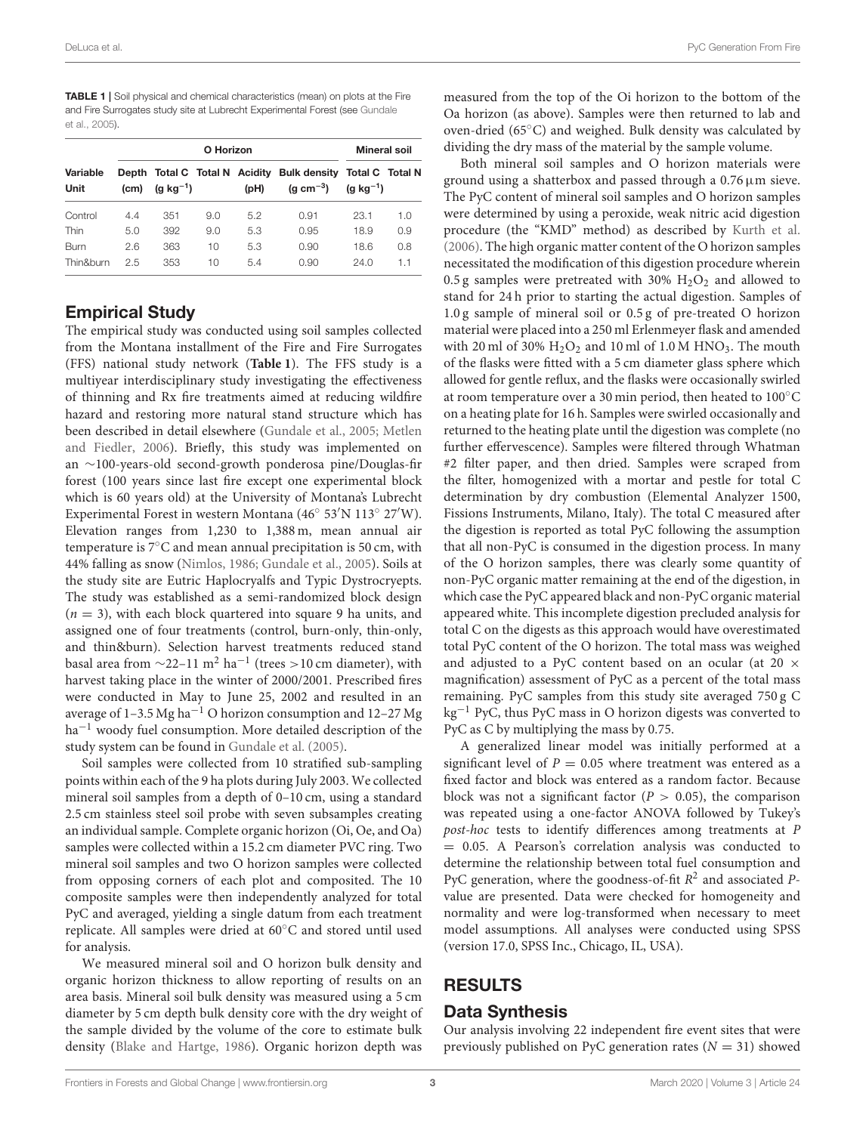DeLuca et al. PyC Generation From Fire

<span id="page-2-0"></span>TABLE 1 | Soil physical and chemical characteristics (mean) on plots at the Fire and Fire Surrogates study site at Lubrecht Experimental Forest (see Gundale et al., [2005\)](#page-6-19).

| Variable<br>Unit | O Horizon |                |     |      |                                                               | Mineral soil                                    |     |
|------------------|-----------|----------------|-----|------|---------------------------------------------------------------|-------------------------------------------------|-----|
|                  | (cm)      | (g $kg^{-1}$ ) |     | (bH) | Depth Total C Total N Acidity Bulk density<br>(a cm $^{-3}$ ) | <b>Total C</b> Total N<br>$(q \text{ kg}^{-1})$ |     |
| Control          | 4.4       | 351            | 9.0 | 5.2  | 0.91                                                          | 23.1                                            | 1.0 |
| Thin             | 5.0       | 392            | 9.0 | 5.3  | 0.95                                                          | 18.9                                            | 0.9 |
| Burn             | 2.6       | 363            | 10  | 5.3  | 0.90                                                          | 18.6                                            | 0.8 |
| Thin&burn        | 2.5       | 353            | 10  | 5.4  | 0.90                                                          | 24.0                                            | 1.1 |

# Empirical Study

The empirical study was conducted using soil samples collected from the Montana installment of the Fire and Fire Surrogates (FFS) national study network (**[Table 1](#page-2-0)**). The FFS study is a multiyear interdisciplinary study investigating the effectiveness of thinning and Rx fire treatments aimed at reducing wildfire hazard and restoring more natural stand structure which has been described in detail elsewhere [\(Gundale et al., 2005;](#page-6-19) Metlen and Fiedler, [2006\)](#page-7-16). Briefly, this study was implemented on an ∼100-years-old second-growth ponderosa pine/Douglas-fir forest (100 years since last fire except one experimental block which is 60 years old) at the University of Montana's Lubrecht Experimental Forest in western Montana (46◦ 53′N 113◦ 27′W). Elevation ranges from 1,230 to 1,388 m, mean annual air temperature is 7◦C and mean annual precipitation is 50 cm, with 44% falling as snow [\(Nimlos, 1986;](#page-7-17) [Gundale et al., 2005\)](#page-6-19). Soils at the study site are Eutric Haplocryalfs and Typic Dystrocryepts. The study was established as a semi-randomized block design  $(n = 3)$ , with each block quartered into square 9 ha units, and assigned one of four treatments (control, burn-only, thin-only, and thin&burn). Selection harvest treatments reduced stand basal area from  $\sim$ 22–11 m<sup>2</sup> ha<sup>-1</sup> (trees >10 cm diameter), with harvest taking place in the winter of 2000/2001. Prescribed fires were conducted in May to June 25, 2002 and resulted in an average of 1–3.5 Mg ha<sup>-1</sup> O horizon consumption and 12–27 Mg ha<sup>-1</sup> woody fuel consumption. More detailed description of the study system can be found in [Gundale et al. \(2005\)](#page-6-19).

Soil samples were collected from 10 stratified sub-sampling points within each of the 9 ha plots during July 2003. We collected mineral soil samples from a depth of 0–10 cm, using a standard 2.5 cm stainless steel soil probe with seven subsamples creating an individual sample. Complete organic horizon (Oi, Oe, and Oa) samples were collected within a 15.2 cm diameter PVC ring. Two mineral soil samples and two O horizon samples were collected from opposing corners of each plot and composited. The 10 composite samples were then independently analyzed for total PyC and averaged, yielding a single datum from each treatment replicate. All samples were dried at 60◦C and stored until used for analysis.

We measured mineral soil and O horizon bulk density and organic horizon thickness to allow reporting of results on an area basis. Mineral soil bulk density was measured using a 5 cm diameter by 5 cm depth bulk density core with the dry weight of the sample divided by the volume of the core to estimate bulk density [\(Blake and Hartge, 1986\)](#page-6-20). Organic horizon depth was measured from the top of the Oi horizon to the bottom of the Oa horizon (as above). Samples were then returned to lab and oven-dried (65◦C) and weighed. Bulk density was calculated by dividing the dry mass of the material by the sample volume.

Both mineral soil samples and O horizon materials were ground using a shatterbox and passed through a 0.76µm sieve. The PyC content of mineral soil samples and O horizon samples were determined by using a peroxide, weak nitric acid digestion procedure (the "KMD" method) as described by [Kurth et al.](#page-7-18) [\(2006\)](#page-7-18). The high organic matter content of the O horizon samples necessitated the modification of this digestion procedure wherein 0.5 g samples were pretreated with 30%  $H<sub>2</sub>O<sub>2</sub>$  and allowed to stand for 24 h prior to starting the actual digestion. Samples of 1.0 g sample of mineral soil or 0.5 g of pre-treated O horizon material were placed into a 250 ml Erlenmeyer flask and amended with 20 ml of 30%  $H_2O_2$  and 10 ml of 1.0 M HNO<sub>3</sub>. The mouth of the flasks were fitted with a 5 cm diameter glass sphere which allowed for gentle reflux, and the flasks were occasionally swirled at room temperature over a 30 min period, then heated to 100◦C on a heating plate for 16 h. Samples were swirled occasionally and returned to the heating plate until the digestion was complete (no further effervescence). Samples were filtered through Whatman #2 filter paper, and then dried. Samples were scraped from the filter, homogenized with a mortar and pestle for total C determination by dry combustion (Elemental Analyzer 1500, Fissions Instruments, Milano, Italy). The total C measured after the digestion is reported as total PyC following the assumption that all non-PyC is consumed in the digestion process. In many of the O horizon samples, there was clearly some quantity of non-PyC organic matter remaining at the end of the digestion, in which case the PyC appeared black and non-PyC organic material appeared white. This incomplete digestion precluded analysis for total C on the digests as this approach would have overestimated total PyC content of the O horizon. The total mass was weighed and adjusted to a PyC content based on an ocular (at 20  $\times$ magnification) assessment of PyC as a percent of the total mass remaining. PyC samples from this study site averaged 750 g C kg−<sup>1</sup> PyC, thus PyC mass in O horizon digests was converted to PyC as C by multiplying the mass by 0.75.

A generalized linear model was initially performed at a significant level of  $P = 0.05$  where treatment was entered as a fixed factor and block was entered as a random factor. Because block was not a significant factor ( $P > 0.05$ ), the comparison was repeated using a one-factor ANOVA followed by Tukey's post-hoc tests to identify differences among treatments at P = 0.05. A Pearson's correlation analysis was conducted to determine the relationship between total fuel consumption and PyC generation, where the goodness-of-fit  $R^2$  and associated Pvalue are presented. Data were checked for homogeneity and normality and were log-transformed when necessary to meet model assumptions. All analyses were conducted using SPSS (version 17.0, SPSS Inc., Chicago, IL, USA).

## RESULTS

#### Data Synthesis

Our analysis involving 22 independent fire event sites that were previously published on PyC generation rates ( $N = 31$ ) showed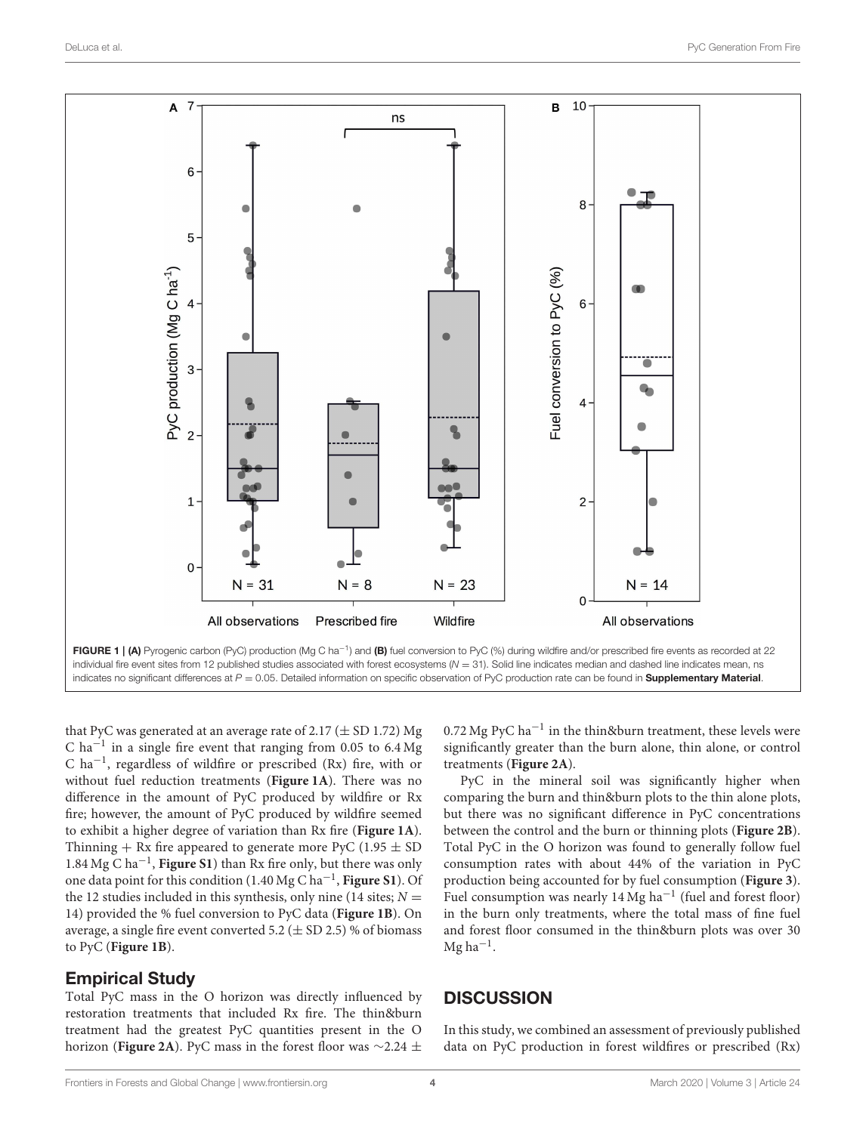

<span id="page-3-0"></span>that PyC was generated at an average rate of  $2.17 (\pm SD 1.72)$  Mg C ha<sup> $-1$ </sup> in a single fire event that ranging from 0.05 to 6.4 Mg C ha−<sup>1</sup> , regardless of wildfire or prescribed (Rx) fire, with or without fuel reduction treatments (**[Figure 1A](#page-3-0)**). There was no difference in the amount of PyC produced by wildfire or Rx fire; however, the amount of PyC produced by wildfire seemed to exhibit a higher degree of variation than Rx fire (**[Figure 1A](#page-3-0)**). Thinning  $+$  Rx fire appeared to generate more PyC (1.95  $\pm$  SD 1.84 Mg C ha−<sup>1</sup> , **[Figure S1](#page-6-18)**) than Rx fire only, but there was only one data point for this condition (1.40 Mg C ha−<sup>1</sup> , **[Figure S1](#page-6-18)**). Of the 12 studies included in this synthesis, only nine (14 sites;  $N =$ 14) provided the % fuel conversion to PyC data (**[Figure 1B](#page-3-0)**). On average, a single fire event converted 5.2 ( $\pm$  SD 2.5) % of biomass to PyC (**[Figure 1B](#page-3-0)**).

## Empirical Study

Total PyC mass in the O horizon was directly influenced by restoration treatments that included Rx fire. The thin&burn treatment had the greatest PyC quantities present in the O horizon (**[Figure 2A](#page-4-0)**). PyC mass in the forest floor was ∼2.24 ±

0.72 Mg PyC ha−<sup>1</sup> in the thin&burn treatment, these levels were significantly greater than the burn alone, thin alone, or control treatments (**[Figure 2A](#page-4-0)**).

PyC in the mineral soil was significantly higher when comparing the burn and thin&burn plots to the thin alone plots, but there was no significant difference in PyC concentrations between the control and the burn or thinning plots (**[Figure 2B](#page-4-0)**). Total PyC in the O horizon was found to generally follow fuel consumption rates with about 44% of the variation in PyC production being accounted for by fuel consumption (**[Figure 3](#page-5-0)**). Fuel consumption was nearly 14 Mg ha−<sup>1</sup> (fuel and forest floor) in the burn only treatments, where the total mass of fine fuel and forest floor consumed in the thin&burn plots was over 30 Mg ha−<sup>1</sup> .

# **DISCUSSION**

In this study, we combined an assessment of previously published data on PyC production in forest wildfires or prescribed (Rx)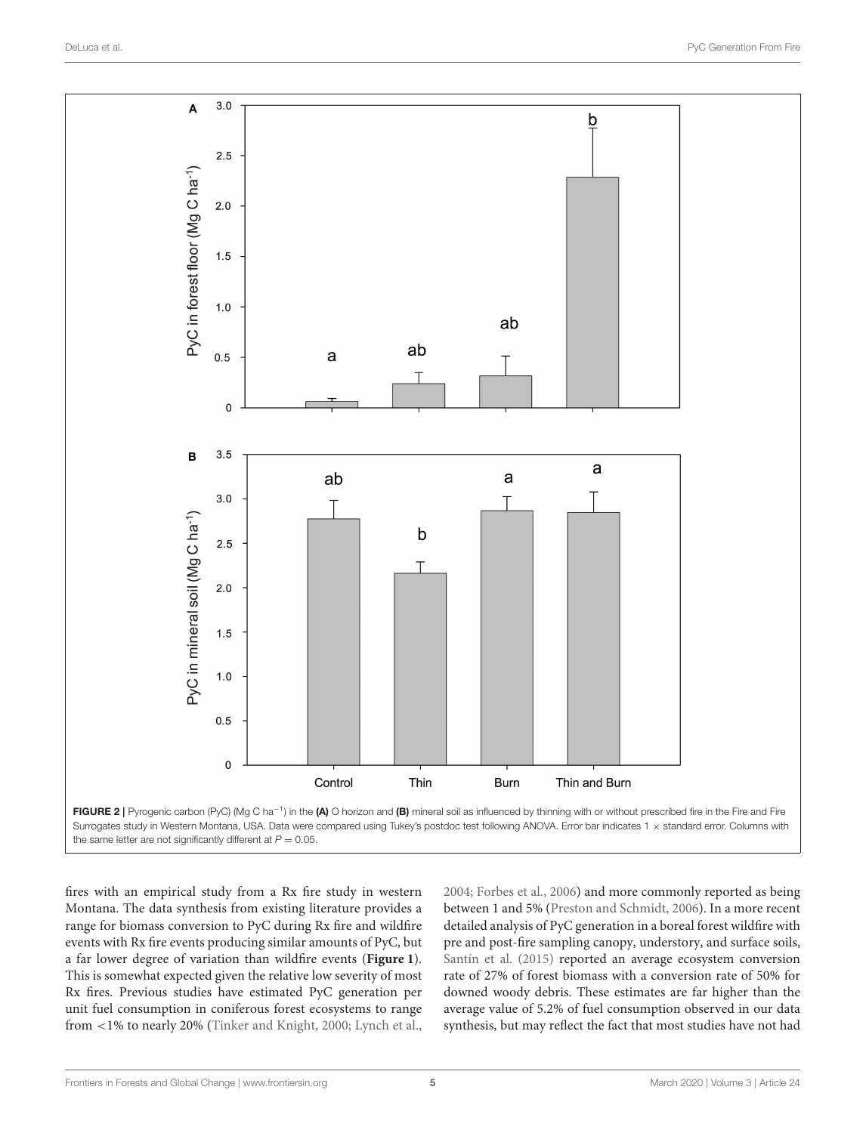

<span id="page-4-0"></span>fires with an empirical study from a Rx fire study in western Montana. The data synthesis from existing literature provides a range for biomass conversion to PyC during Rx fire and wildfire events with Rx fire events producing similar amounts of PyC, but a far lower degree of variation than wildfire events (**[Figure 1](#page-3-0)**). This is somewhat expected given the relative low severity of most Rx fires. Previous studies have estimated PyC generation per unit fuel consumption in coniferous forest ecosystems to range from <1% to nearly 20% [\(Tinker and Knight, 2000;](#page-7-19) [Lynch et al.,](#page-7-1) [2004;](#page-7-1) [Forbes et al., 2006\)](#page-6-0) and more commonly reported as being between 1 and 5% [\(Preston and Schmidt, 2006\)](#page-7-20). In a more recent detailed analysis of PyC generation in a boreal forest wildfire with pre and post-fire sampling canopy, understory, and surface soils, [Santín et al. \(2015\)](#page-7-3) reported an average ecosystem conversion rate of 27% of forest biomass with a conversion rate of 50% for downed woody debris. These estimates are far higher than the average value of 5.2% of fuel consumption observed in our data synthesis, but may reflect the fact that most studies have not had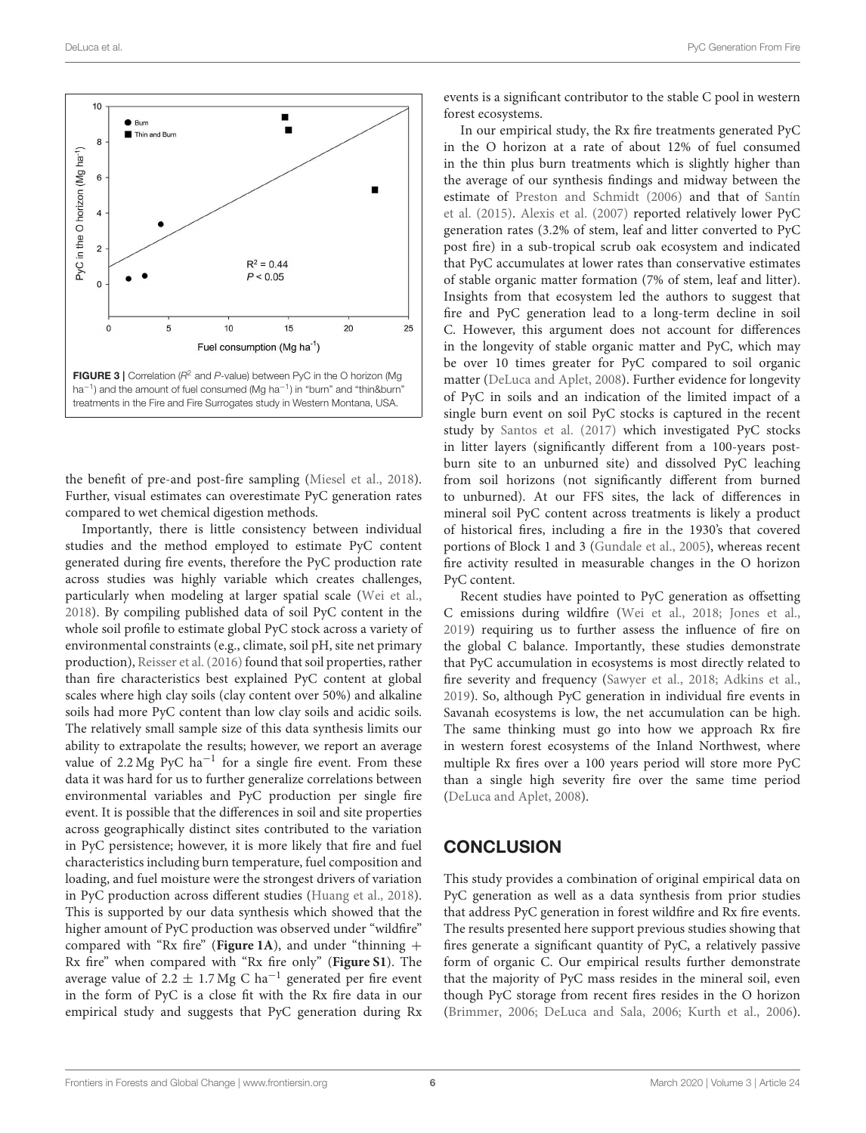

<span id="page-5-0"></span>the benefit of pre-and post-fire sampling [\(Miesel et al., 2018\)](#page-7-21). Further, visual estimates can overestimate PyC generation rates compared to wet chemical digestion methods.

Importantly, there is little consistency between individual studies and the method employed to estimate PyC content generated during fire events, therefore the PyC production rate across studies was highly variable which creates challenges, particularly when modeling at larger spatial scale [\(Wei et al.,](#page-7-22) [2018\)](#page-7-22). By compiling published data of soil PyC content in the whole soil profile to estimate global PyC stock across a variety of environmental constraints (e.g., climate, soil pH, site net primary production), [Reisser et al. \(2016\)](#page-7-23) found that soil properties, rather than fire characteristics best explained PyC content at global scales where high clay soils (clay content over 50%) and alkaline soils had more PyC content than low clay soils and acidic soils. The relatively small sample size of this data synthesis limits our ability to extrapolate the results; however, we report an average value of 2.2 Mg PyC ha<sup>-1</sup> for a single fire event. From these data it was hard for us to further generalize correlations between environmental variables and PyC production per single fire event. It is possible that the differences in soil and site properties across geographically distinct sites contributed to the variation in PyC persistence; however, it is more likely that fire and fuel characteristics including burn temperature, fuel composition and loading, and fuel moisture were the strongest drivers of variation in PyC production across different studies [\(Huang et al., 2018\)](#page-7-24). This is supported by our data synthesis which showed that the higher amount of PyC production was observed under "wildfire" compared with "Rx fire" (**[Figure 1A](#page-3-0)**), and under "thinning + Rx fire" when compared with "Rx fire only" (**[Figure S1](#page-6-18)**). The average value of 2.2  $\pm$  1.7 Mg C ha<sup>-1</sup> generated per fire event in the form of PyC is a close fit with the Rx fire data in our empirical study and suggests that PyC generation during Rx events is a significant contributor to the stable C pool in western forest ecosystems.

In our empirical study, the Rx fire treatments generated PyC in the O horizon at a rate of about 12% of fuel consumed in the thin plus burn treatments which is slightly higher than the average of our synthesis findings and midway between the estimate of [Preston and Schmidt \(2006\)](#page-7-20) and that of Santín et al. [\(2015\)](#page-7-3). [Alexis et al. \(2007\)](#page-6-21) reported relatively lower PyC generation rates (3.2% of stem, leaf and litter converted to PyC post fire) in a sub-tropical scrub oak ecosystem and indicated that PyC accumulates at lower rates than conservative estimates of stable organic matter formation (7% of stem, leaf and litter). Insights from that ecosystem led the authors to suggest that fire and PyC generation lead to a long-term decline in soil C. However, this argument does not account for differences in the longevity of stable organic matter and PyC, which may be over 10 times greater for PyC compared to soil organic matter [\(DeLuca and Aplet, 2008\)](#page-6-3). Further evidence for longevity of PyC in soils and an indication of the limited impact of a single burn event on soil PyC stocks is captured in the recent study by [Santos et al. \(2017\)](#page-7-25) which investigated PyC stocks in litter layers (significantly different from a 100-years postburn site to an unburned site) and dissolved PyC leaching from soil horizons (not significantly different from burned to unburned). At our FFS sites, the lack of differences in mineral soil PyC content across treatments is likely a product of historical fires, including a fire in the 1930's that covered portions of Block 1 and 3 [\(Gundale et al., 2005\)](#page-6-19), whereas recent fire activity resulted in measurable changes in the O horizon PyC content.

Recent studies have pointed to PyC generation as offsetting C emissions during wildfire [\(Wei et al., 2018;](#page-7-22) [Jones et al.,](#page-7-26) [2019\)](#page-7-26) requiring us to further assess the influence of fire on the global C balance. Importantly, these studies demonstrate that PyC accumulation in ecosystems is most directly related to fire severity and frequency [\(Sawyer et al., 2018;](#page-7-27) [Adkins et al.,](#page-6-22) [2019\)](#page-6-22). So, although PyC generation in individual fire events in Savanah ecosystems is low, the net accumulation can be high. The same thinking must go into how we approach Rx fire in western forest ecosystems of the Inland Northwest, where multiple Rx fires over a 100 years period will store more PyC than a single high severity fire over the same time period [\(DeLuca and Aplet, 2008\)](#page-6-3).

#### **CONCLUSION**

This study provides a combination of original empirical data on PyC generation as well as a data synthesis from prior studies that address PyC generation in forest wildfire and Rx fire events. The results presented here support previous studies showing that fires generate a significant quantity of PyC, a relatively passive form of organic C. Our empirical results further demonstrate that the majority of PyC mass resides in the mineral soil, even though PyC storage from recent fires resides in the O horizon [\(Brimmer, 2006;](#page-6-23) [DeLuca and Sala, 2006;](#page-6-10) [Kurth et al., 2006\)](#page-7-18).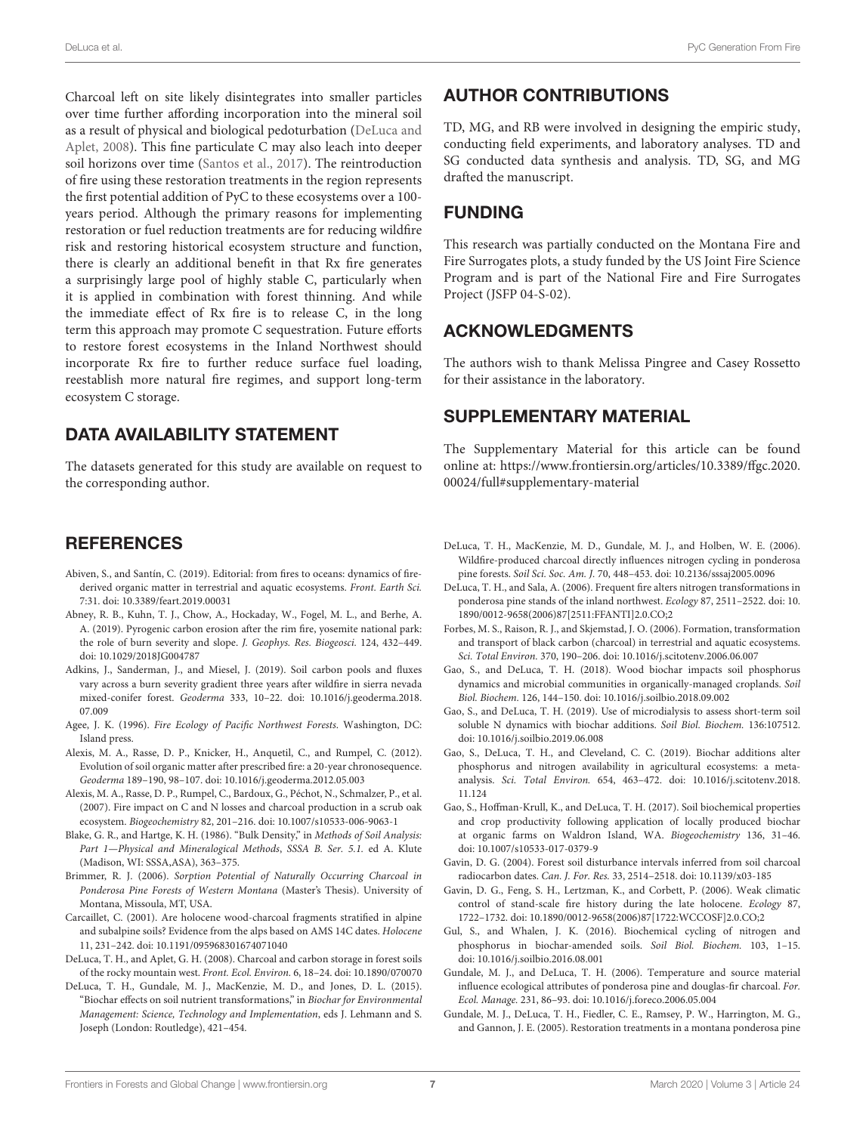Charcoal left on site likely disintegrates into smaller particles over time further affording incorporation into the mineral soil as a result of physical and biological pedoturbation (DeLuca and Aplet, [2008\)](#page-6-3). This fine particulate C may also leach into deeper soil horizons over time [\(Santos et al., 2017\)](#page-7-25). The reintroduction of fire using these restoration treatments in the region represents the first potential addition of PyC to these ecosystems over a 100 years period. Although the primary reasons for implementing restoration or fuel reduction treatments are for reducing wildfire risk and restoring historical ecosystem structure and function, there is clearly an additional benefit in that Rx fire generates a surprisingly large pool of highly stable C, particularly when it is applied in combination with forest thinning. And while the immediate effect of Rx fire is to release C, in the long term this approach may promote C sequestration. Future efforts to restore forest ecosystems in the Inland Northwest should incorporate Rx fire to further reduce surface fuel loading, reestablish more natural fire regimes, and support long-term ecosystem C storage.

## DATA AVAILABILITY STATEMENT

The datasets generated for this study are available on request to the corresponding author.

#### REFERENCES

- <span id="page-6-2"></span>Abiven, S., and Santín, C. (2019). Editorial: from fires to oceans: dynamics of firederived organic matter in terrestrial and aquatic ecosystems. Front. Earth Sci. 7:31. doi: [10.3389/feart.2019.00031](https://doi.org/10.3389/feart.2019.00031)
- <span id="page-6-1"></span>Abney, R. B., Kuhn, T. J., Chow, A., Hockaday, W., Fogel, M. L., and Berhe, A. A. (2019). Pyrogenic carbon erosion after the rim fire, yosemite national park: the role of burn severity and slope. J. Geophys. Res. Biogeosci. 124, 432–449. doi: [10.1029/2018JG004787](https://doi.org/10.1029/2018JG004787)
- <span id="page-6-22"></span>Adkins, J., Sanderman, J., and Miesel, J. (2019). Soil carbon pools and fluxes vary across a burn severity gradient three years after wildfire in sierra nevada mixed-conifer forest. Geoderma [333, 10–22. doi: 10.1016/j.geoderma.2018.](https://doi.org/10.1016/j.geoderma.2018.07.009) 07.009
- <span id="page-6-17"></span>Agee, J. K. (1996). Fire Ecology of Pacific Northwest Forests. Washington, DC: Island press.
- <span id="page-6-16"></span>Alexis, M. A., Rasse, D. P., Knicker, H., Anquetil, C., and Rumpel, C. (2012). Evolution of soil organic matter after prescribed fire: a 20-year chronosequence. Geoderma 189–190, 98–107. doi: [10.1016/j.geoderma.2012.05.003](https://doi.org/10.1016/j.geoderma.2012.05.003)
- <span id="page-6-21"></span>Alexis, M. A., Rasse, D. P., Rumpel, C., Bardoux, G., Péchot, N., Schmalzer, P., et al. (2007). Fire impact on C and N losses and charcoal production in a scrub oak ecosystem. Biogeochemistry 82, 201–216. doi: [10.1007/s10533-006-9063-1](https://doi.org/10.1007/s10533-006-9063-1)
- <span id="page-6-20"></span>Blake, G. R., and Hartge, K. H. (1986). "Bulk Density," in Methods of Soil Analysis: Part 1—Physical and Mineralogical Methods, SSSA B. Ser. 5.1. ed A. Klute (Madison, WI: SSSA,ASA), 363–375.
- <span id="page-6-23"></span>Brimmer, R. J. (2006). Sorption Potential of Naturally Occurring Charcoal in Ponderosa Pine Forests of Western Montana (Master's Thesis). University of Montana, Missoula, MT, USA.
- <span id="page-6-4"></span>Carcaillet, C. (2001). Are holocene wood-charcoal fragments stratified in alpine and subalpine soils? Evidence from the alps based on AMS 14C dates. Holocene 11, 231–242. doi: [10.1191/095968301674071040](https://doi.org/10.1191/095968301674071040)
- <span id="page-6-3"></span>DeLuca, T. H., and Aplet, G. H. (2008). Charcoal and carbon storage in forest soils of the rocky mountain west. Front. Ecol. Environ. 6, 18–24. doi: [10.1890/070070](https://doi.org/10.1890/070070)
- <span id="page-6-12"></span>DeLuca, T. H., Gundale, M. J., MacKenzie, M. D., and Jones, D. L. (2015). "Biochar effects on soil nutrient transformations," in Biochar for Environmental Management: Science, Technology and Implementation, eds J. Lehmann and S. Joseph (London: Routledge), 421–454.

## AUTHOR CONTRIBUTIONS

TD, MG, and RB were involved in designing the empiric study, conducting field experiments, and laboratory analyses. TD and SG conducted data synthesis and analysis. TD, SG, and MG drafted the manuscript.

## FUNDING

This research was partially conducted on the Montana Fire and Fire Surrogates plots, a study funded by the US Joint Fire Science Program and is part of the National Fire and Fire Surrogates Project (JSFP 04-S-02).

#### ACKNOWLEDGMENTS

The authors wish to thank Melissa Pingree and Casey Rossetto for their assistance in the laboratory.

#### SUPPLEMENTARY MATERIAL

<span id="page-6-18"></span>The Supplementary Material for this article can be found [online at: https://www.frontiersin.org/articles/10.3389/ffgc.2020.](https://www.frontiersin.org/articles/10.3389/ffgc.2020.00024/full#supplementary-material) 00024/full#supplementary-material

- <span id="page-6-11"></span>DeLuca, T. H., MacKenzie, M. D., Gundale, M. J., and Holben, W. E. (2006). Wildfire-produced charcoal directly influences nitrogen cycling in ponderosa pine forests. Soil Sci. Soc. Am. J. 70, 448–453. doi: [10.2136/sssaj2005.0096](https://doi.org/10.2136/sssaj2005.0096)
- <span id="page-6-10"></span>DeLuca, T. H., and Sala, A. (2006). Frequent fire alters nitrogen transformations in ponderosa pine stands of the inland northwest. Ecology 87, 2511–2522. doi: 10. [1890/0012-9658\(2006\)87\[2511:FFANTI\]2.0.CO;2](https://doi.org/10.1890/0012-9658(2006)87[2511:FFANTI]2.0.CO;2)
- <span id="page-6-0"></span>Forbes, M. S., Raison, R. J., and Skjemstad, J. O. (2006). Formation, transformation and transport of black carbon (charcoal) in terrestrial and aquatic ecosystems. Sci. Total Environ. 370, 190–206. doi: [10.1016/j.scitotenv.2006.06.007](https://doi.org/10.1016/j.scitotenv.2006.06.007)
- <span id="page-6-14"></span>Gao, S., and DeLuca, T. H. (2018). Wood biochar impacts soil phosphorus dynamics and microbial communities in organically-managed croplands. Soil Biol. Biochem. 126, 144–150. doi: [10.1016/j.soilbio.2018.09.002](https://doi.org/10.1016/j.soilbio.2018.09.002)
- <span id="page-6-8"></span>Gao, S., and DeLuca, T. H. (2019). Use of microdialysis to assess short-term soil soluble N dynamics with biochar additions. Soil Biol. Biochem. 136:107512. doi: [10.1016/j.soilbio.2019.06.008](https://doi.org/10.1016/j.soilbio.2019.06.008)
- <span id="page-6-9"></span>Gao, S., DeLuca, T. H., and Cleveland, C. C. (2019). Biochar additions alter phosphorus and nitrogen availability in agricultural ecosystems: a metaanalysis. Sci. Total Environ. [654, 463–472. doi: 10.1016/j.scitotenv.2018.](https://doi.org/10.1016/j.scitotenv.2018.11.124) 11.124
- <span id="page-6-13"></span>Gao, S., Hoffman-Krull, K., and DeLuca, T. H. (2017). Soil biochemical properties and crop productivity following application of locally produced biochar at organic farms on Waldron Island, WA. Biogeochemistry 136, 31–46. doi: [10.1007/s10533-017-0379-9](https://doi.org/10.1007/s10533-017-0379-9)
- <span id="page-6-5"></span>Gavin, D. G. (2004). Forest soil disturbance intervals inferred from soil charcoal radiocarbon dates. Can. J. For. Res. 33, 2514–2518. doi: [10.1139/x03-185](https://doi.org/10.1139/x03-185)
- <span id="page-6-6"></span>Gavin, D. G., Feng, S. H., Lertzman, K., and Corbett, P. (2006). Weak climatic control of stand-scale fire history during the late holocene. Ecology 87, 1722–1732. doi: [10.1890/0012-9658\(2006\)87\[1722:WCCOSF\]2.0.CO;2](https://doi.org/10.1890/0012-9658(2006)87[1722:WCCOSF]2.0.CO;2)
- <span id="page-6-7"></span>Gul, S., and Whalen, J. K. (2016). Biochemical cycling of nitrogen and phosphorus in biochar-amended soils. Soil Biol. Biochem. 103, 1–15. doi: [10.1016/j.soilbio.2016.08.001](https://doi.org/10.1016/j.soilbio.2016.08.001)
- <span id="page-6-15"></span>Gundale, M. J., and DeLuca, T. H. (2006). Temperature and source material influence ecological attributes of ponderosa pine and douglas-fir charcoal. For. Ecol. Manage. 231, 86–93. doi: [10.1016/j.foreco.2006.05.004](https://doi.org/10.1016/j.foreco.2006.05.004)
- <span id="page-6-19"></span>Gundale, M. J., DeLuca, T. H., Fiedler, C. E., Ramsey, P. W., Harrington, M. G., and Gannon, J. E. (2005). Restoration treatments in a montana ponderosa pine